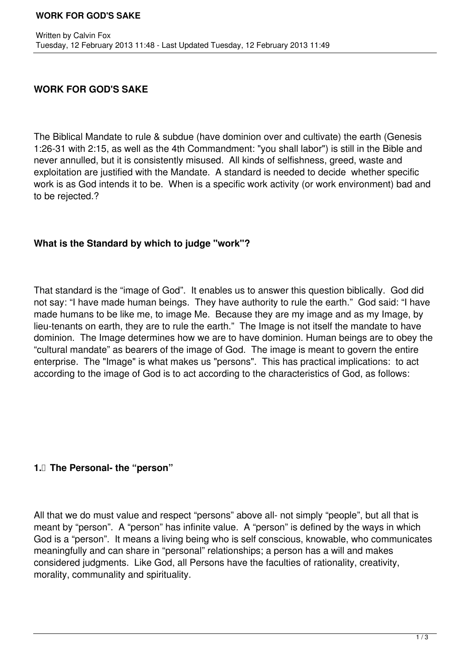## **WORK FOR GOD'S SAKE**

The Biblical Mandate to rule & subdue (have dominion over and cultivate) the earth (Genesis 1:26-31 with 2:15, as well as the 4th Commandment: "you shall labor") is still in the Bible and never annulled, but it is consistently misused. All kinds of selfishness, greed, waste and exploitation are justified with the Mandate. A standard is needed to decide whether specific work is as God intends it to be. When is a specific work activity (or work environment) bad and to be rejected.?

## **What is the Standard by which to judge "work"?**

That standard is the "image of God". It enables us to answer this question biblically. God did not say: "I have made human beings. They have authority to rule the earth." God said: "I have made humans to be like me, to image Me. Because they are my image and as my Image, by lieu-tenants on earth, they are to rule the earth." The Image is not itself the mandate to have dominion. The Image determines how we are to have dominion. Human beings are to obey the "cultural mandate" as bearers of the image of God. The image is meant to govern the entire enterprise. The "Image" is what makes us "persons". This has practical implications: to act according to the image of God is to act according to the characteristics of God, as follows:

## **1. The Personal- the "person"**

All that we do must value and respect "persons" above all- not simply "people", but all that is meant by "person". A "person" has infinite value. A "person" is defined by the ways in which God is a "person". It means a living being who is self conscious, knowable, who communicates meaningfully and can share in "personal" relationships; a person has a will and makes considered judgments. Like God, all Persons have the faculties of rationality, creativity, morality, communality and spirituality.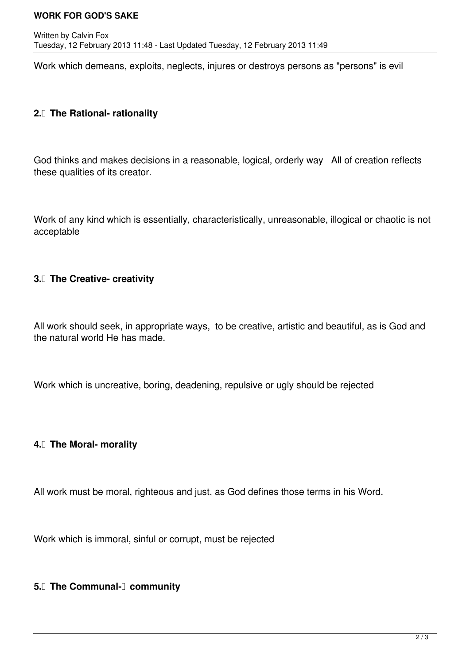#### **WORK FOR GOD'S SAKE**

Work which demeans, exploits, neglects, injures or destroys persons as "persons" is evil

### **2.** The Rational- rationality

God thinks and makes decisions in a reasonable, logical, orderly way All of creation reflects these qualities of its creator.

Work of any kind which is essentially, characteristically, unreasonable, illogical or chaotic is not acceptable

#### **3.** The Creative- creativity

All work should seek, in appropriate ways, to be creative, artistic and beautiful, as is God and the natural world He has made.

Work which is uncreative, boring, deadening, repulsive or ugly should be rejected

#### **4. The Moral- morality**

All work must be moral, righteous and just, as God defines those terms in his Word.

Work which is immoral, sinful or corrupt, must be rejected

**5.** The Communal-**community**